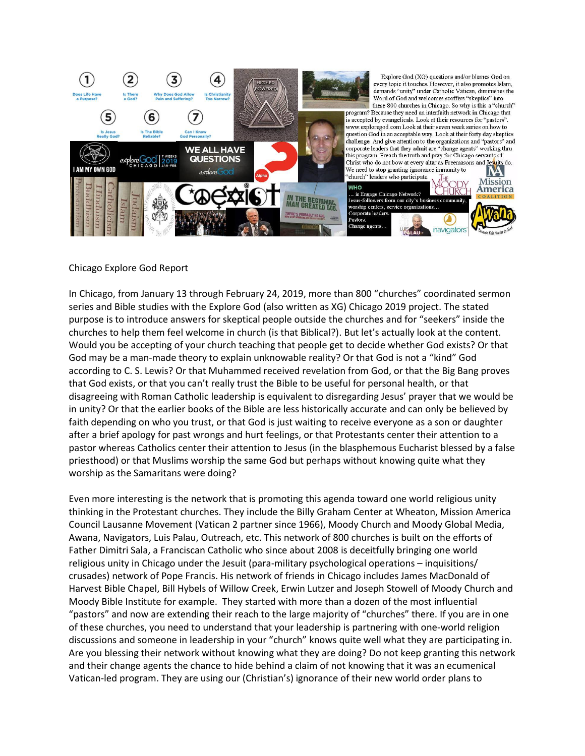

# Chicago Explore God Report

In Chicago, from January 13 through February 24, 2019, more than 800 "churches" coordinated sermon series and Bible studies with the Explore God (also written as XG) Chicago 2019 project. The stated purpose is to introduce answers for skeptical people outside the churches and for "seekers" inside the churches to help them feel welcome in church (is that Biblical?). But let's actually look at the content. Would you be accepting of your church teaching that people get to decide whether God exists? Or that God may be a man-made theory to explain unknowable reality? Or that God is not a "kind" God according to C. S. Lewis? Or that Muhammed received revelation from God, or that the Big Bang proves that God exists, or that you can't really trust the Bible to be useful for personal health, or that disagreeing with Roman Catholic leadership is equivalent to disregarding Jesus' prayer that we would be in unity? Or that the earlier books of the Bible are less historically accurate and can only be believed by faith depending on who you trust, or that God is just waiting to receive everyone as a son or daughter after a brief apology for past wrongs and hurt feelings, or that Protestants center their attention to a pastor whereas Catholics center their attention to Jesus (in the blasphemous Eucharist blessed by a false priesthood) or that Muslims worship the same God but perhaps without knowing quite what they worship as the Samaritans were doing?

Even more interesting is the network that is promoting this agenda toward one world religious unity thinking in the Protestant churches. They include the Billy Graham Center at Wheaton, Mission America Council Lausanne Movement (Vatican 2 partner since 1966), Moody Church and Moody Global Media, Awana, Navigators, Luis Palau, Outreach, etc. This network of 800 churches is built on the efforts of Father Dimitri Sala, a Franciscan Catholic who since about 2008 is deceitfully bringing one world religious unity in Chicago under the Jesuit (para-military psychological operations – inquisitions/ crusades) network of Pope Francis. His network of friends in Chicago includes James MacDonald of Harvest Bible Chapel, Bill Hybels of Willow Creek, Erwin Lutzer and Joseph Stowell of Moody Church and Moody Bible Institute for example. They started with more than a dozen of the most influential "pastors" and now are extending their reach to the large majority of "churches" there. If you are in one of these churches, you need to understand that your leadership is partnering with one-world religion discussions and someone in leadership in your "church" knows quite well what they are participating in. Are you blessing their network without knowing what they are doing? Do not keep granting this network and their change agents the chance to hide behind a claim of not knowing that it was an ecumenical Vatican-led program. They are using our (Christian's) ignorance of their new world order plans to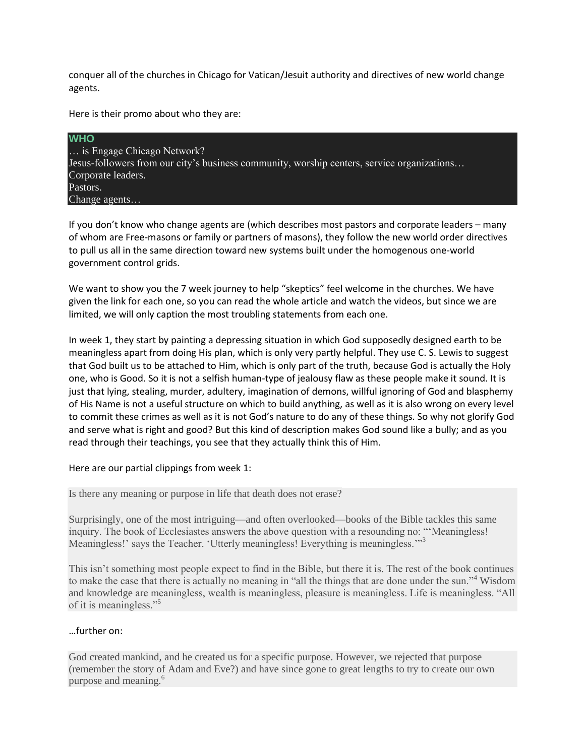conquer all of the churches in Chicago for Vatican/Jesuit authority and directives of new world change agents.

Here is their promo about who they are:

**WHO** … is Engage Chicago Network? Jesus-followers from our city's business community, worship centers, service organizations… Corporate leaders. Pastors. Change agents…

If you don't know who change agents are (which describes most pastors and corporate leaders – many of whom are Free-masons or family or partners of masons), they follow the new world order directives to pull us all in the same direction toward new systems built under the homogenous one-world government control grids.

We want to show you the 7 week journey to help "skeptics" feel welcome in the churches. We have given the link for each one, so you can read the whole article and watch the videos, but since we are limited, we will only caption the most troubling statements from each one.

In week 1, they start by painting a depressing situation in which God supposedly designed earth to be meaningless apart from doing His plan, which is only very partly helpful. They use C. S. Lewis to suggest that God built us to be attached to Him, which is only part of the truth, because God is actually the Holy one, who is Good. So it is not a selfish human-type of jealousy flaw as these people make it sound. It is just that lying, stealing, murder, adultery, imagination of demons, willful ignoring of God and blasphemy of His Name is not a useful structure on which to build anything, as well as it is also wrong on every level to commit these crimes as well as it is not God's nature to do any of these things. So why not glorify God and serve what is right and good? But this kind of description makes God sound like a bully; and as you read through their teachings, you see that they actually think this of Him.

Here are our partial clippings from week 1:

Is there any meaning or purpose in life that death does not erase?

Surprisingly, one of the most intriguing—and often overlooked—books of the Bible tackles this same inquiry. The book of Ecclesiastes answers the above question with a resounding no: "'Meaningless! Meaningless!' says the Teacher. 'Utterly meaningless! Everything is meaningless.'"<sup>3</sup>

This isn't something most people expect to find in the Bible, but there it is. The rest of the book continues to make the case that there is actually no meaning in "all the things that are done under the sun."<sup>4</sup> Wisdom and knowledge are meaningless, wealth is meaningless, pleasure is meaningless. Life is meaningless. "All of it is meaningless."<sup>5</sup>

# …further on:

God created mankind, and he created us for a specific purpose. However, we rejected that purpose (remember the story of Adam and Eve?) and have since gone to great lengths to try to create our own purpose and meaning.<sup>6</sup>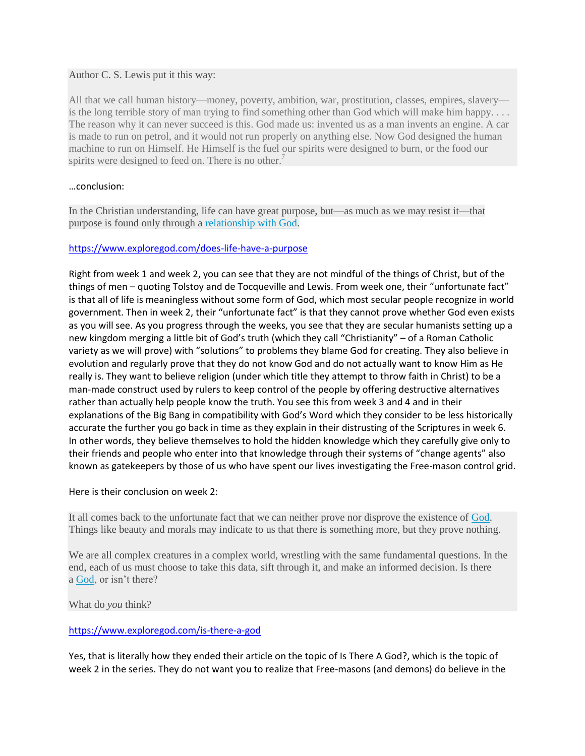#### Author C. S. Lewis put it this way:

All that we call human history—money, poverty, ambition, war, prostitution, classes, empires, slavery is the long terrible story of man trying to find something other than God which will make him happy.... The reason why it can never succeed is this. God made us: invented us as a man invents an engine. A car is made to run on petrol, and it would not run properly on anything else. Now God designed the human machine to run on Himself. He Himself is the fuel our spirits were designed to burn, or the food our spirits were designed to feed on. There is no other.<sup>7</sup>

#### …conclusion:

In the Christian understanding, life can have great purpose, but—as much as we may resist it—that purpose is found only through a [relationship with God.](https://www.exploregod.com/can-i-know-god-personally-video)

#### <https://www.exploregod.com/does-life-have-a-purpose>

Right from week 1 and week 2, you can see that they are not mindful of the things of Christ, but of the things of men – quoting Tolstoy and de Tocqueville and Lewis. From week one, their "unfortunate fact" is that all of life is meaningless without some form of God, which most secular people recognize in world government. Then in week 2, their "unfortunate fact" is that they cannot prove whether God even exists as you will see. As you progress through the weeks, you see that they are secular humanists setting up a new kingdom merging a little bit of God's truth (which they call "Christianity" – of a Roman Catholic variety as we will prove) with "solutions" to problems they blame God for creating. They also believe in evolution and regularly prove that they do not know God and do not actually want to know Him as He really is. They want to believe religion (under which title they attempt to throw faith in Christ) to be a man-made construct used by rulers to keep control of the people by offering destructive alternatives rather than actually help people know the truth. You see this from week 3 and 4 and in their explanations of the Big Bang in compatibility with God's Word which they consider to be less historically accurate the further you go back in time as they explain in their distrusting of the Scriptures in week 6. In other words, they believe themselves to hold the hidden knowledge which they carefully give only to their friends and people who enter into that knowledge through their systems of "change agents" also known as gatekeepers by those of us who have spent our lives investigating the Free-mason control grid.

Here is their conclusion on week 2:

It all comes back to the unfortunate fact that we can neither prove nor disprove the existence of [God.](https://www.exploregod.com/god) Things like beauty and morals may indicate to us that there is something more, but they prove nothing.

We are all complex creatures in a complex world, wrestling with the same fundamental questions. In the end, each of us must choose to take this data, sift through it, and make an informed decision. Is there a [God,](https://www.exploregod.com/is-there-a-god-video) or isn't there?

What do *you* think?

# <https://www.exploregod.com/is-there-a-god>

Yes, that is literally how they ended their article on the topic of Is There A God?, which is the topic of week 2 in the series. They do not want you to realize that Free-masons (and demons) do believe in the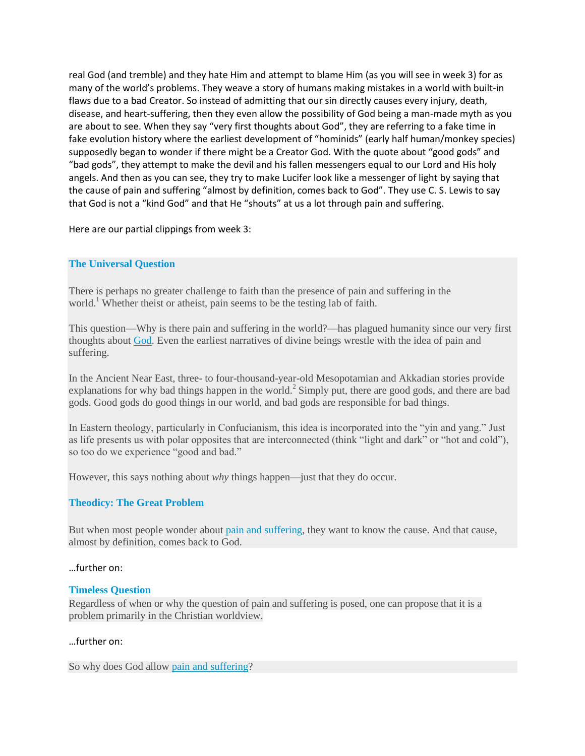real God (and tremble) and they hate Him and attempt to blame Him (as you will see in week 3) for as many of the world's problems. They weave a story of humans making mistakes in a world with built-in flaws due to a bad Creator. So instead of admitting that our sin directly causes every injury, death, disease, and heart-suffering, then they even allow the possibility of God being a man-made myth as you are about to see. When they say "very first thoughts about God", they are referring to a fake time in fake evolution history where the earliest development of "hominids" (early half human/monkey species) supposedly began to wonder if there might be a Creator God. With the quote about "good gods" and "bad gods", they attempt to make the devil and his fallen messengers equal to our Lord and His holy angels. And then as you can see, they try to make Lucifer look like a messenger of light by saying that the cause of pain and suffering "almost by definition, comes back to God". They use C. S. Lewis to say that God is not a "kind God" and that He "shouts" at us a lot through pain and suffering.

Here are our partial clippings from week 3:

#### **The Universal Question**

There is perhaps no greater challenge to faith than the presence of pain and suffering in the world.<sup>1</sup> Whether theist or atheist, pain seems to be the testing lab of faith.

This question—Why is there pain and suffering in the world?—has plagued humanity since our very first thoughts about [God.](https://www.exploregod.com/god) Even the earliest narratives of divine beings wrestle with the idea of pain and suffering.

In the Ancient Near East, three- to four-thousand-year-old Mesopotamian and Akkadian stories provide explanations for why bad things happen in the world.<sup>2</sup> Simply put, there are good gods, and there are bad gods. Good gods do good things in our world, and bad gods are responsible for bad things.

In Eastern theology, particularly in Confucianism, this idea is incorporated into the "yin and yang." Just as life presents us with polar opposites that are interconnected (think "light and dark" or "hot and cold"), so too do we experience "good and bad."

However, this says nothing about *why* things happen—just that they do occur.

# **Theodicy: The Great Problem**

But when most people wonder about [pain and suffering,](https://www.exploregod.com/pain-and-suffering) they want to know the cause. And that cause, almost by definition, comes back to God.

#### …further on:

#### **Timeless Question**

Regardless of when or why the question of pain and suffering is posed, one can propose that it is a problem primarily in the Christian worldview.

#### …further on:

So why does God allow [pain and suffering?](https://www.exploregod.com/why-does-god-allow-pain-video)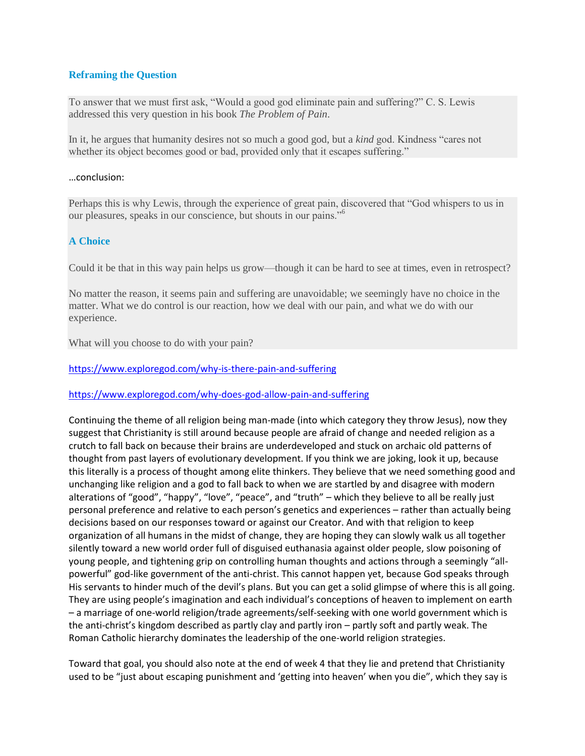# **Reframing the Question**

To answer that we must first ask, "Would a good god eliminate pain and suffering?" C. S. Lewis addressed this very question in his book *The Problem of Pain*.

In it, he argues that humanity desires not so much a good god, but a *kind* god. Kindness "cares not whether its object becomes good or bad, provided only that it escapes suffering."

#### …conclusion:

Perhaps this is why Lewis, through the experience of great pain, discovered that "God whispers to us in our pleasures, speaks in our conscience, but shouts in our pains."<sup>6</sup>

#### **A Choice**

Could it be that in this way pain helps us grow—though it can be hard to see at times, even in retrospect?

No matter the reason, it seems pain and suffering are unavoidable; we seemingly have no choice in the matter. What we do control is our reaction, how we deal with our pain, and what we do with our experience.

What will you choose to do with your pain?

<https://www.exploregod.com/why-is-there-pain-and-suffering>

<https://www.exploregod.com/why-does-god-allow-pain-and-suffering>

Continuing the theme of all religion being man-made (into which category they throw Jesus), now they suggest that Christianity is still around because people are afraid of change and needed religion as a crutch to fall back on because their brains are underdeveloped and stuck on archaic old patterns of thought from past layers of evolutionary development. If you think we are joking, look it up, because this literally is a process of thought among elite thinkers. They believe that we need something good and unchanging like religion and a god to fall back to when we are startled by and disagree with modern alterations of "good", "happy", "love", "peace", and "truth" – which they believe to all be really just personal preference and relative to each person's genetics and experiences – rather than actually being decisions based on our responses toward or against our Creator. And with that religion to keep organization of all humans in the midst of change, they are hoping they can slowly walk us all together silently toward a new world order full of disguised euthanasia against older people, slow poisoning of young people, and tightening grip on controlling human thoughts and actions through a seemingly "allpowerful" god-like government of the anti-christ. This cannot happen yet, because God speaks through His servants to hinder much of the devil's plans. But you can get a solid glimpse of where this is all going. They are using people's imagination and each individual's conceptions of heaven to implement on earth – a marriage of one-world religion/trade agreements/self-seeking with one world government which is the anti-christ's kingdom described as partly clay and partly iron – partly soft and partly weak. The Roman Catholic hierarchy dominates the leadership of the one-world religion strategies.

Toward that goal, you should also note at the end of week 4 that they lie and pretend that Christianity used to be "just about escaping punishment and 'getting into heaven' when you die", which they say is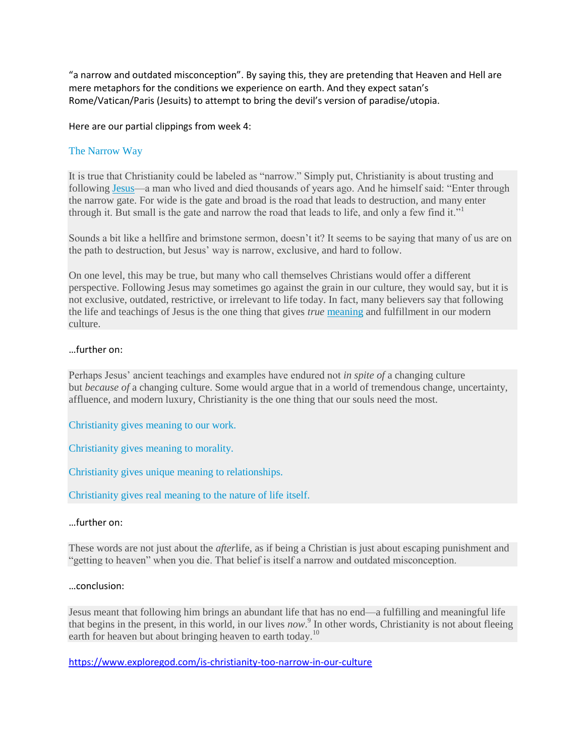"a narrow and outdated misconception". By saying this, they are pretending that Heaven and Hell are mere metaphors for the conditions we experience on earth. And they expect satan's Rome/Vatican/Paris (Jesuits) to attempt to bring the devil's version of paradise/utopia.

Here are our partial clippings from week 4:

# The Narrow Way

It is true that Christianity could be labeled as "narrow." Simply put, Christianity is about trusting and following [Jesus—](https://www.exploregod.com/jesus)a man who lived and died thousands of years ago. And he himself said: "Enter through the narrow gate. For wide is the gate and broad is the road that leads to destruction, and many enter through it. But small is the gate and narrow the road that leads to life, and only a few find it."<sup>1</sup>

Sounds a bit like a hellfire and brimstone sermon, doesn't it? It seems to be saying that many of us are on the path to destruction, but Jesus' way is narrow, exclusive, and hard to follow.

On one level, this may be true, but many who call themselves Christians would offer a different perspective. Following Jesus may sometimes go against the grain in our culture, they would say, but it is not exclusive, outdated, restrictive, or irrelevant to life today. In fact, many believers say that following the life and teachings of Jesus is the one thing that gives *true* [meaning](https://www.exploregod.com/what-is-the-meaning-of-life) and fulfillment in our modern culture.

#### …further on:

Perhaps Jesus' ancient teachings and examples have endured not *in spite of* a changing culture but *because of* a changing culture. Some would argue that in a world of tremendous change, uncertainty, affluence, and modern luxury, Christianity is the one thing that our souls need the most.

Christianity gives meaning to our work.

Christianity gives meaning to morality.

Christianity gives unique meaning to relationships.

Christianity gives real meaning to the nature of life itself.

#### …further on:

These words are not just about the *after*life, as if being a Christian is just about escaping punishment and "getting to heaven" when you die. That belief is itself a narrow and outdated misconception.

#### …conclusion:

Jesus meant that following him brings an abundant life that has no end—a fulfilling and meaningful life that begins in the present, in this world, in our lives *now*. 9 In other words, Christianity is not about fleeing earth for heaven but about bringing heaven to earth today.<sup>10</sup>

<https://www.exploregod.com/is-christianity-too-narrow-in-our-culture>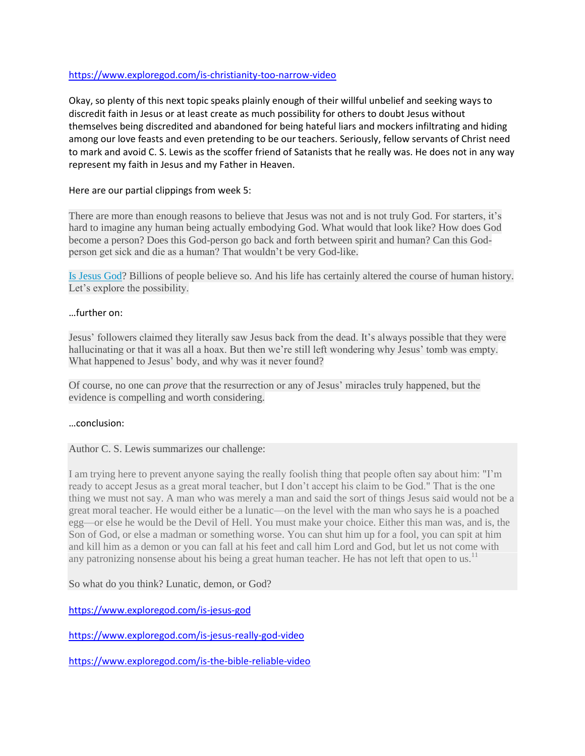# <https://www.exploregod.com/is-christianity-too-narrow-video>

Okay, so plenty of this next topic speaks plainly enough of their willful unbelief and seeking ways to discredit faith in Jesus or at least create as much possibility for others to doubt Jesus without themselves being discredited and abandoned for being hateful liars and mockers infiltrating and hiding among our love feasts and even pretending to be our teachers. Seriously, fellow servants of Christ need to mark and avoid C. S. Lewis as the scoffer friend of Satanists that he really was. He does not in any way represent my faith in Jesus and my Father in Heaven.

# Here are our partial clippings from week 5:

There are more than enough reasons to believe that Jesus was not and is not truly God. For starters, it's hard to imagine any human being actually embodying God. What would that look like? How does God become a person? Does this God-person go back and forth between spirit and human? Can this Godperson get sick and die as a human? That wouldn't be very God-like.

[Is Jesus God?](https://www.exploregod.com/is-jesus-really-god-video) Billions of people believe so. And his life has certainly altered the course of human history. Let's explore the possibility.

# …further on:

Jesus' followers claimed they literally saw Jesus back from the dead. It's always possible that they were hallucinating or that it was all a hoax. But then we're still left wondering why Jesus' tomb was empty. What happened to Jesus' body, and why was it never found?

Of course, no one can *prove* that the resurrection or any of Jesus' miracles truly happened, but the evidence is compelling and worth considering.

# …conclusion:

# Author C. S. Lewis summarizes our challenge:

I am trying here to prevent anyone saying the really foolish thing that people often say about him: "I'm ready to accept Jesus as a great moral teacher, but I don't accept his claim to be God." That is the one thing we must not say. A man who was merely a man and said the sort of things Jesus said would not be a great moral teacher. He would either be a lunatic—on the level with the man who says he is a poached egg—or else he would be the Devil of Hell. You must make your choice. Either this man was, and is, the Son of God, or else a madman or something worse. You can shut him up for a fool, you can spit at him and kill him as a demon or you can fall at his feet and call him Lord and God, but let us not come with any patronizing nonsense about his being a great human teacher. He has not left that open to us.<sup>11</sup>

So what do you think? Lunatic, demon, or God?

<https://www.exploregod.com/is-jesus-god>

<https://www.exploregod.com/is-jesus-really-god-video>

<https://www.exploregod.com/is-the-bible-reliable-video>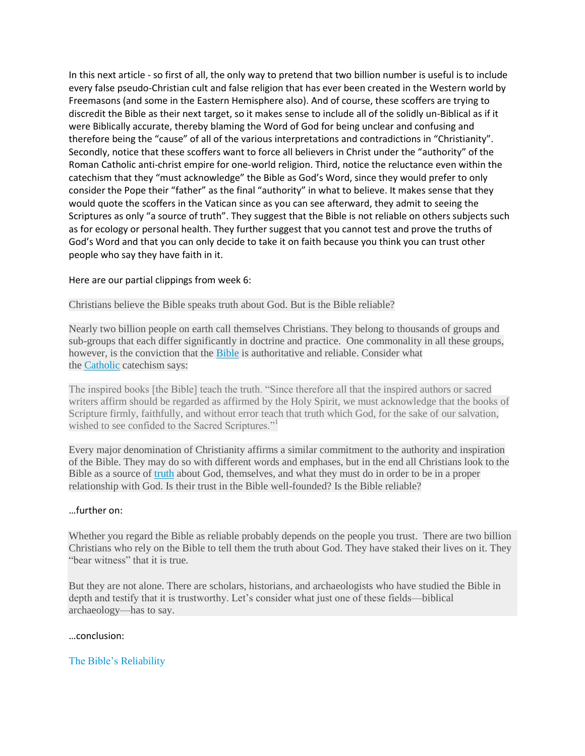In this next article - so first of all, the only way to pretend that two billion number is useful is to include every false pseudo-Christian cult and false religion that has ever been created in the Western world by Freemasons (and some in the Eastern Hemisphere also). And of course, these scoffers are trying to discredit the Bible as their next target, so it makes sense to include all of the solidly un-Biblical as if it were Biblically accurate, thereby blaming the Word of God for being unclear and confusing and therefore being the "cause" of all of the various interpretations and contradictions in "Christianity". Secondly, notice that these scoffers want to force all believers in Christ under the "authority" of the Roman Catholic anti-christ empire for one-world religion. Third, notice the reluctance even within the catechism that they "must acknowledge" the Bible as God's Word, since they would prefer to only consider the Pope their "father" as the final "authority" in what to believe. It makes sense that they would quote the scoffers in the Vatican since as you can see afterward, they admit to seeing the Scriptures as only "a source of truth". They suggest that the Bible is not reliable on others subjects such as for ecology or personal health. They further suggest that you cannot test and prove the truths of God's Word and that you can only decide to take it on faith because you think you can trust other people who say they have faith in it.

#### Here are our partial clippings from week 6:

Christians believe the Bible speaks truth about God. But is the Bible reliable?

Nearly two billion people on earth call themselves Christians. They belong to thousands of groups and sub-groups that each differ significantly in doctrine and practice. One commonality in all these groups, however, is the conviction that the [Bible](https://www.exploregod.com/bible) is authoritative and reliable. Consider what the [Catholic](https://www.exploregod.com/difference-between-protestantism-and-catholicism) catechism says:

The inspired books [the Bible] teach the truth. "Since therefore all that the inspired authors or sacred writers affirm should be regarded as affirmed by the Holy Spirit, we must acknowledge that the books of Scripture firmly, faithfully, and without error teach that truth which God, for the sake of our salvation, wished to see confided to the Sacred Scriptures."<sup>1</sup>

Every major denomination of Christianity affirms a similar commitment to the authority and inspiration of the Bible. They may do so with different words and emphases, but in the end all Christians look to the Bible as a source of [truth](https://www.exploregod.com/do-we-need-truth-video) about God, themselves, and what they must do in order to be in a proper relationship with God. Is their trust in the Bible well-founded? Is the Bible reliable?

#### …further on:

Whether you regard the Bible as reliable probably depends on the people you trust. There are two billion Christians who rely on the Bible to tell them the truth about God. They have staked their lives on it. They "bear witness" that it is true.

But they are not alone. There are scholars, historians, and archaeologists who have studied the Bible in depth and testify that it is trustworthy. Let's consider what just one of these fields—biblical archaeology—has to say.

#### …conclusion:

#### The Bible's Reliability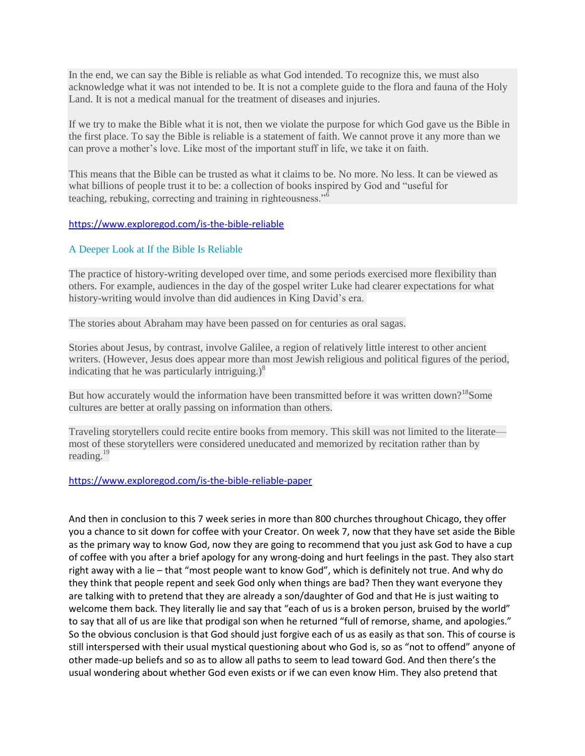In the end, we can say the Bible is reliable as what God intended. To recognize this, we must also acknowledge what it was not intended to be. It is not a complete guide to the flora and fauna of the Holy Land. It is not a medical manual for the treatment of diseases and injuries.

If we try to make the Bible what it is not, then we violate the purpose for which God gave us the Bible in the first place. To say the Bible is reliable is a statement of faith. We cannot prove it any more than we can prove a mother's love. Like most of the important stuff in life, we take it on faith.

This means that the Bible can be trusted as what it claims to be. No more. No less. It can be viewed as what billions of people trust it to be: a collection of books inspired by God and "useful for teaching, rebuking, correcting and training in righteousness."<sup>6</sup>

#### <https://www.exploregod.com/is-the-bible-reliable>

# A Deeper Look at If the Bible Is Reliable

The practice of history-writing developed over time, and some periods exercised more flexibility than others. For example, audiences in the day of the gospel writer Luke had clearer expectations for what history-writing would involve than did audiences in King David's era.

The stories about Abraham may have been passed on for centuries as oral sagas.

Stories about Jesus, by contrast, involve Galilee, a region of relatively little interest to other ancient writers. (However, Jesus does appear more than most Jewish religious and political figures of the period, indicating that he was particularly intriguing.) $\delta$ 

But how accurately would the information have been transmitted before it was written down?<sup>18</sup>Some cultures are better at orally passing on information than others.

Traveling storytellers could recite entire books from memory. This skill was not limited to the literate most of these storytellers were considered uneducated and memorized by recitation rather than by reading.<sup>19</sup>

#### <https://www.exploregod.com/is-the-bible-reliable-paper>

And then in conclusion to this 7 week series in more than 800 churches throughout Chicago, they offer you a chance to sit down for coffee with your Creator. On week 7, now that they have set aside the Bible as the primary way to know God, now they are going to recommend that you just ask God to have a cup of coffee with you after a brief apology for any wrong-doing and hurt feelings in the past. They also start right away with a lie – that "most people want to know God", which is definitely not true. And why do they think that people repent and seek God only when things are bad? Then they want everyone they are talking with to pretend that they are already a son/daughter of God and that He is just waiting to welcome them back. They literally lie and say that "each of us is a broken person, bruised by the world" to say that all of us are like that prodigal son when he returned "full of remorse, shame, and apologies." So the obvious conclusion is that God should just forgive each of us as easily as that son. This of course is still interspersed with their usual mystical questioning about who God is, so as "not to offend" anyone of other made-up beliefs and so as to allow all paths to seem to lead toward God. And then there's the usual wondering about whether God even exists or if we can even know Him. They also pretend that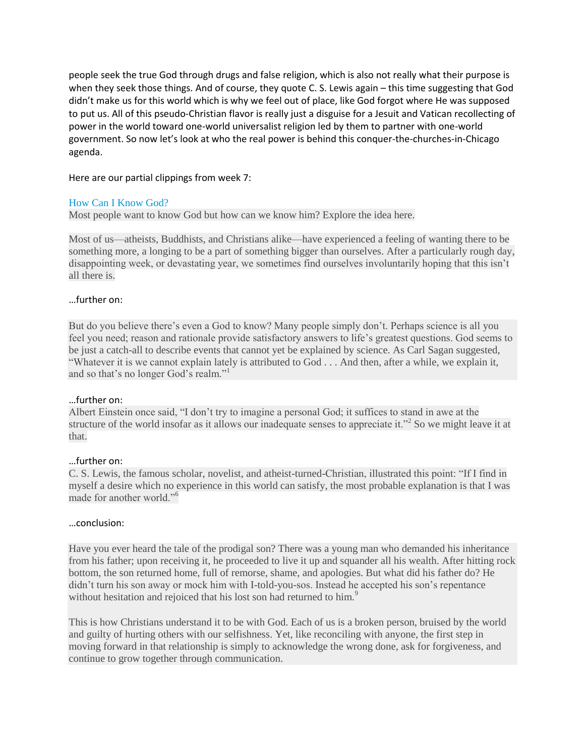people seek the true God through drugs and false religion, which is also not really what their purpose is when they seek those things. And of course, they quote C. S. Lewis again – this time suggesting that God didn't make us for this world which is why we feel out of place, like God forgot where He was supposed to put us. All of this pseudo-Christian flavor is really just a disguise for a Jesuit and Vatican recollecting of power in the world toward one-world universalist religion led by them to partner with one-world government. So now let's look at who the real power is behind this conquer-the-churches-in-Chicago agenda.

# Here are our partial clippings from week 7:

# How Can I Know God?

Most people want to know God but how can we know him? Explore the idea here.

Most of us—atheists, Buddhists, and Christians alike—have experienced a feeling of wanting there to be something more, a longing to be a part of something bigger than ourselves. After a particularly rough day, disappointing week, or devastating year, we sometimes find ourselves involuntarily hoping that this isn't all there is.

# …further on:

But do you believe there's even a God to know? Many people simply don't. Perhaps science is all you feel you need; reason and rationale provide satisfactory answers to life's greatest questions. God seems to be just a catch-all to describe events that cannot yet be explained by science. As Carl Sagan suggested, "Whatever it is we cannot explain lately is attributed to God . . . And then, after a while, we explain it, and so that's no longer God's realm."<sup>1</sup>

# …further on:

Albert Einstein once said, "I don't try to imagine a personal God; it suffices to stand in awe at the structure of the world insofar as it allows our inadequate senses to appreciate it."<sup>2</sup> So we might leave it at that.

# …further on:

C. S. Lewis, the famous scholar, novelist, and atheist-turned-Christian, illustrated this point: "If I find in myself a desire which no experience in this world can satisfy, the most probable explanation is that I was made for another world."<sup>6</sup>

# …conclusion:

Have you ever heard the tale of the prodigal son? There was a young man who demanded his inheritance from his father; upon receiving it, he proceeded to live it up and squander all his wealth. After hitting rock bottom, the son returned home, full of remorse, shame, and apologies. But what did his father do? He didn't turn his son away or mock him with I-told-you-sos. Instead he accepted his son's repentance without hesitation and rejoiced that his lost son had returned to him.<sup>9</sup>

This is how Christians understand it to be with God. Each of us is a broken person, bruised by the world and guilty of hurting others with our selfishness. Yet, like reconciling with anyone, the first step in moving forward in that relationship is simply to acknowledge the wrong done, ask for forgiveness, and continue to grow together through communication.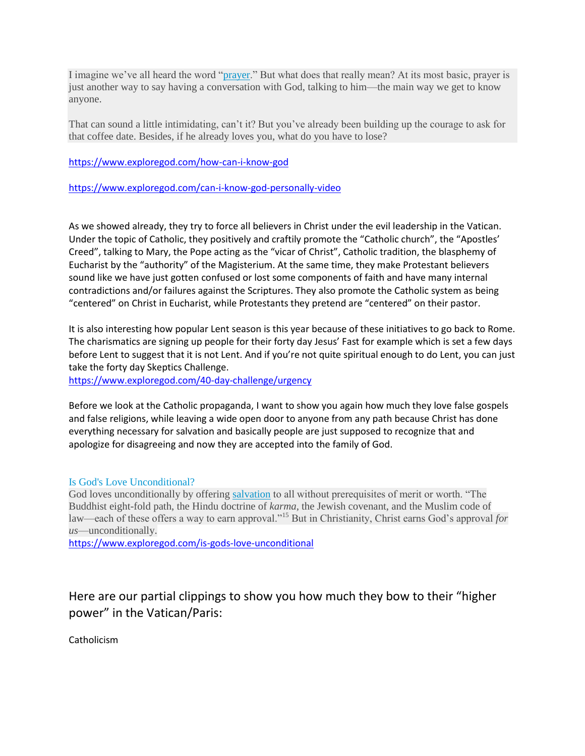I imagine we've all heard the word ["prayer.](https://www.exploregod.com/what-is-prayer)" But what does that really mean? At its most basic, prayer is just another way to say having a conversation with God, talking to him—the main way we get to know anyone.

That can sound a little intimidating, can't it? But you've already been building up the courage to ask for that coffee date. Besides, if he already loves you, what do you have to lose?

<https://www.exploregod.com/how-can-i-know-god>

<https://www.exploregod.com/can-i-know-god-personally-video>

As we showed already, they try to force all believers in Christ under the evil leadership in the Vatican. Under the topic of Catholic, they positively and craftily promote the "Catholic church", the "Apostles' Creed", talking to Mary, the Pope acting as the "vicar of Christ", Catholic tradition, the blasphemy of Eucharist by the "authority" of the Magisterium. At the same time, they make Protestant believers sound like we have just gotten confused or lost some components of faith and have many internal contradictions and/or failures against the Scriptures. They also promote the Catholic system as being "centered" on Christ in Eucharist, while Protestants they pretend are "centered" on their pastor.

It is also interesting how popular Lent season is this year because of these initiatives to go back to Rome. The charismatics are signing up people for their forty day Jesus' Fast for example which is set a few days before Lent to suggest that it is not Lent. And if you're not quite spiritual enough to do Lent, you can just take the forty day Skeptics Challenge.

<https://www.exploregod.com/40-day-challenge/urgency>

Before we look at the Catholic propaganda, I want to show you again how much they love false gospels and false religions, while leaving a wide open door to anyone from any path because Christ has done everything necessary for salvation and basically people are just supposed to recognize that and apologize for disagreeing and now they are accepted into the family of God.

# Is God's Love Unconditional?

God loves unconditionally by offering [salvation](https://www.exploregod.com/the-christian-view-of-salvation) to all without prerequisites of merit or worth. "The Buddhist eight-fold path, the Hindu doctrine of *karma*, the Jewish covenant, and the Muslim code of law—each of these offers a way to earn approval."<sup>15</sup> But in Christianity, Christ earns God's approval *for us*—unconditionally.

<https://www.exploregod.com/is-gods-love-unconditional>

Here are our partial clippings to show you how much they bow to their "higher power" in the Vatican/Paris:

Catholicism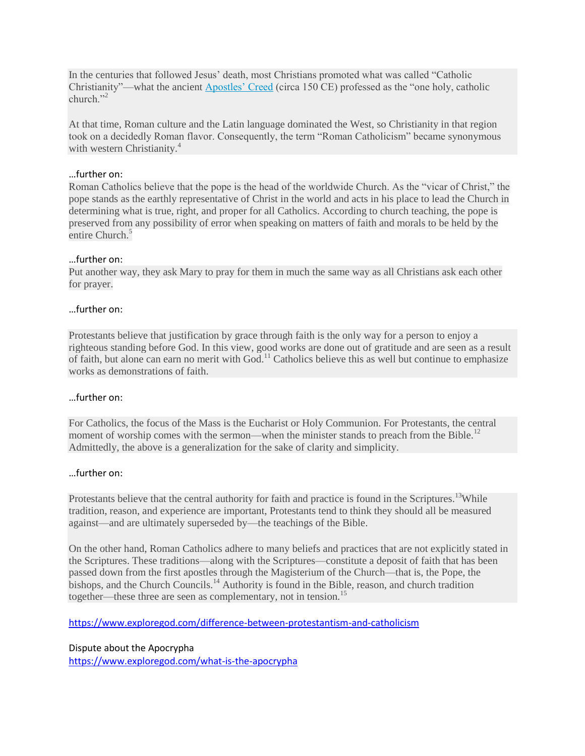In the centuries that followed Jesus' death, most Christians promoted what was called "Catholic Christianity"—what the ancient [Apostles' Creed](https://www.exploregod.com/what-is-the-apostles-creed) (circa 150 CE) professed as the "one holy, catholic church $"$ <sup>2</sup>

At that time, Roman culture and the Latin language dominated the West, so Christianity in that region took on a decidedly Roman flavor. Consequently, the term "Roman Catholicism" became synonymous with western Christianity.<sup>4</sup>

# …further on:

Roman Catholics believe that the pope is the head of the worldwide Church. As the "vicar of Christ," the pope stands as the earthly representative of Christ in the world and acts in his place to lead the Church in determining what is true, right, and proper for all Catholics. According to church teaching, the pope is preserved from any possibility of error when speaking on matters of faith and morals to be held by the entire Church.<sup>5</sup>

#### …further on:

Put another way, they ask Mary to pray for them in much the same way as all Christians ask each other for prayer.

#### …further on:

Protestants believe that justification by grace through faith is the only way for a person to enjoy a righteous standing before God. In this view, good works are done out of gratitude and are seen as a result of faith, but alone can earn no merit with God.<sup>11</sup> Catholics believe this as well but continue to emphasize works as demonstrations of faith.

#### …further on:

For Catholics, the focus of the Mass is the Eucharist or Holy Communion. For Protestants, the central moment of worship comes with the sermon—when the minister stands to preach from the Bible.<sup>12</sup> Admittedly, the above is a generalization for the sake of clarity and simplicity.

#### …further on:

Protestants believe that the central authority for faith and practice is found in the Scriptures.<sup>13</sup>While tradition, reason, and experience are important, Protestants tend to think they should all be measured against—and are ultimately superseded by—the teachings of the Bible.

On the other hand, Roman Catholics adhere to many beliefs and practices that are not explicitly stated in the Scriptures. These traditions—along with the Scriptures—constitute a deposit of faith that has been passed down from the first apostles through the Magisterium of the Church—that is, the Pope, the bishops, and the Church Councils.<sup>14</sup> Authority is found in the Bible, reason, and church tradition together—these three are seen as complementary, not in tension.<sup>15</sup>

<https://www.exploregod.com/difference-between-protestantism-and-catholicism>

#### Dispute about the Apocrypha

<https://www.exploregod.com/what-is-the-apocrypha>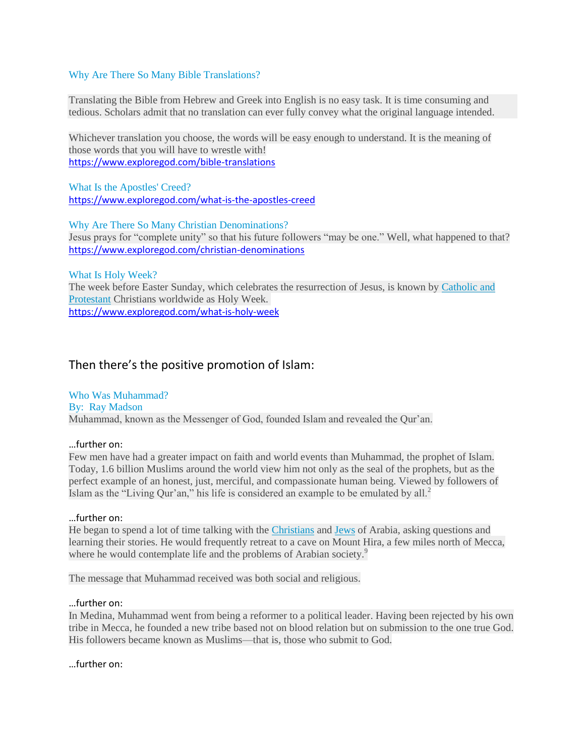#### Why Are There So Many Bible Translations?

Translating the Bible from Hebrew and Greek into English is no easy task. It is time consuming and tedious. Scholars admit that no translation can ever fully convey what the original language intended.

Whichever translation you choose, the words will be easy enough to understand. It is the meaning of those words that you will have to wrestle with! <https://www.exploregod.com/bible-translations>

What Is the Apostles' Creed? <https://www.exploregod.com/what-is-the-apostles-creed>

Why Are There So Many Christian Denominations? Jesus prays for "complete unity" so that his future followers "may be one." Well, what happened to that? <https://www.exploregod.com/christian-denominations>

What Is Holy Week?

The week before Easter Sunday, which celebrates the resurrection of Jesus, is known by [Catholic and](http://www.exploregod.com/questions/difference-between-protestantism-and-catholicism)  [Protestant](http://www.exploregod.com/questions/difference-between-protestantism-and-catholicism) Christians worldwide as Holy Week. <https://www.exploregod.com/what-is-holy-week>

# Then there's the positive promotion of Islam:

Who Was Muhammad? By: Ray Madson Muhammad, known as the Messenger of God, founded Islam and revealed the Qur'an.

#### …further on:

Few men have had a greater impact on faith and world events than Muhammad, the prophet of Islam. Today, 1.6 billion Muslims around the world view him not only as the seal of the prophets, but as the perfect example of an honest, just, merciful, and compassionate human being. Viewed by followers of Islam as the "Living Qur'an," his life is considered an example to be emulated by all. $<sup>2</sup>$ </sup>

#### …further on:

He began to spend a lot of time talking with the [Christians](https://www.exploregod.com/what-is-christianity) and [Jews](https://www.exploregod.com/what-is-judaism) of Arabia, asking questions and learning their stories. He would frequently retreat to a cave on Mount Hira, a few miles north of Mecca, where he would contemplate life and the problems of Arabian society.<sup>9</sup>

The message that Muhammad received was both social and religious.

#### …further on:

In Medina, Muhammad went from being a reformer to a political leader. Having been rejected by his own tribe in Mecca, he founded a new tribe based not on blood relation but on submission to the one true God. His followers became known as Muslims—that is, those who submit to God.

…further on: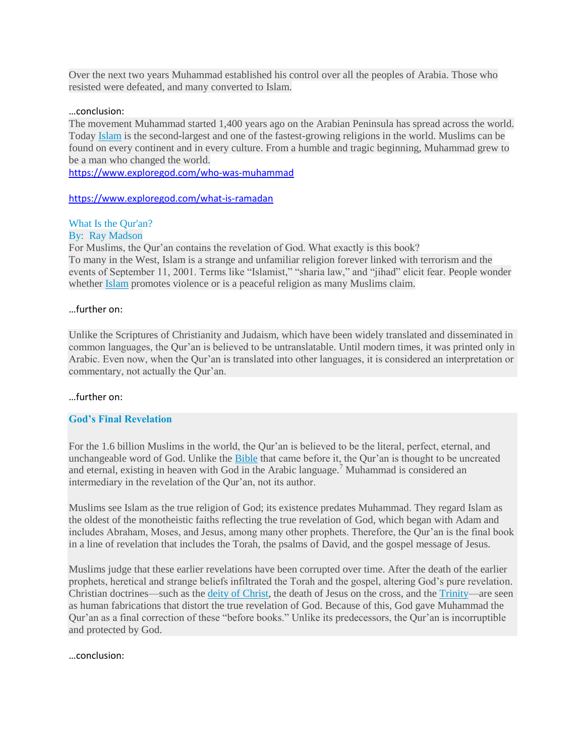Over the next two years Muhammad established his control over all the peoples of Arabia. Those who resisted were defeated, and many converted to Islam.

#### …conclusion:

The movement Muhammad started 1,400 years ago on the Arabian Peninsula has spread across the world. Today [Islam](https://www.exploregod.com/what-is-islam) is the second-largest and one of the fastest-growing religions in the world. Muslims can be found on every continent and in every culture. From a humble and tragic beginning, Muhammad grew to be a man who changed the world.

<https://www.exploregod.com/who-was-muhammad>

<https://www.exploregod.com/what-is-ramadan>

# What Is the Qur'an?

#### By: Ray Madson

For Muslims, the Qur'an contains the revelation of God. What exactly is this book? To many in the West, Islam is a strange and unfamiliar religion forever linked with terrorism and the events of September 11, 2001. Terms like "Islamist," "sharia law," and "jihad" elicit fear. People wonder whether **[Islam](https://www.exploregod.com/what-is-islam)** promotes violence or is a peaceful religion as many Muslims claim.

#### …further on:

Unlike the Scriptures of Christianity and Judaism, which have been widely translated and disseminated in common languages, the Qur'an is believed to be untranslatable. Until modern times, it was printed only in Arabic. Even now, when the Qur'an is translated into other languages, it is considered an interpretation or commentary, not actually the Qur'an.

# …further on:

# **God's Final Revelation**

For the 1.6 billion Muslims in the world, the Qur'an is believed to be the literal, perfect, eternal, and unchangeable word of God. Unlike the [Bible](https://www.exploregod.com/bible) that came before it, the Qur'an is thought to be uncreated and eternal, existing in heaven with God in the Arabic language.<sup>7</sup> Muhammad is considered an intermediary in the revelation of the Qur'an, not its author.

Muslims see Islam as the true religion of God; its existence predates Muhammad. They regard Islam as the oldest of the monotheistic faiths reflecting the true revelation of God, which began with Adam and includes Abraham, Moses, and Jesus, among many other prophets. Therefore, the Qur'an is the final book in a line of revelation that includes the Torah, the psalms of David, and the gospel message of Jesus.

Muslims judge that these earlier revelations have been corrupted over time. After the death of the earlier prophets, heretical and strange beliefs infiltrated the Torah and the gospel, altering God's pure revelation. Christian doctrines—such as the [deity of Christ,](https://www.exploregod.com/how-can-we-know-if-jesus-is-god-video) the death of Jesus on the cross, and the [Trinity—](https://www.exploregod.com/what-is-the-trinity)are seen as human fabrications that distort the true revelation of God. Because of this, God gave Muhammad the Qur'an as a final correction of these "before books." Unlike its predecessors, the Qur'an is incorruptible and protected by God.

…conclusion: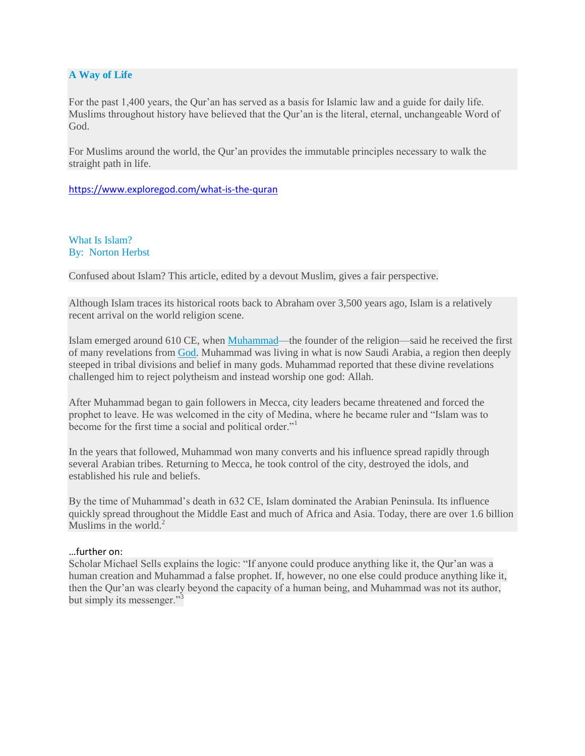# **A Way of Life**

For the past 1,400 years, the Qur'an has served as a basis for Islamic law and a guide for daily life. Muslims throughout history have believed that the Qur'an is the literal, eternal, unchangeable Word of God.

For Muslims around the world, the Qur'an provides the immutable principles necessary to walk the straight path in life.

<https://www.exploregod.com/what-is-the-quran>

What Is Islam? By: Norton Herbst

Confused about Islam? This article, edited by a devout Muslim, gives a fair perspective.

Although Islam traces its historical roots back to Abraham over 3,500 years ago, Islam is a relatively recent arrival on the world religion scene.

Islam emerged around 610 CE, when [Muhammad—](https://www.exploregod.com/who-was-muhammad)the founder of the religion—said he received the first of many revelations from [God.](https://www.exploregod.com/who-is-god) Muhammad was living in what is now Saudi Arabia, a region then deeply steeped in tribal divisions and belief in many gods. Muhammad reported that these divine revelations challenged him to reject polytheism and instead worship one god: Allah.

After Muhammad began to gain followers in Mecca, city leaders became threatened and forced the prophet to leave. He was welcomed in the city of Medina, where he became ruler and "Islam was to become for the first time a social and political order."

In the years that followed, Muhammad won many converts and his influence spread rapidly through several Arabian tribes. Returning to Mecca, he took control of the city, destroyed the idols, and established his rule and beliefs.

By the time of Muhammad's death in 632 CE, Islam dominated the Arabian Peninsula. Its influence quickly spread throughout the Middle East and much of Africa and Asia. Today, there are over 1.6 billion Muslims in the world. $2$ 

# …further on:

Scholar Michael Sells explains the logic: "If anyone could produce anything like it, the Qur'an was a human creation and Muhammad a false prophet. If, however, no one else could produce anything like it, then the Qur'an was clearly beyond the capacity of a human being, and Muhammad was not its author, but simply its messenger."<sup>3</sup>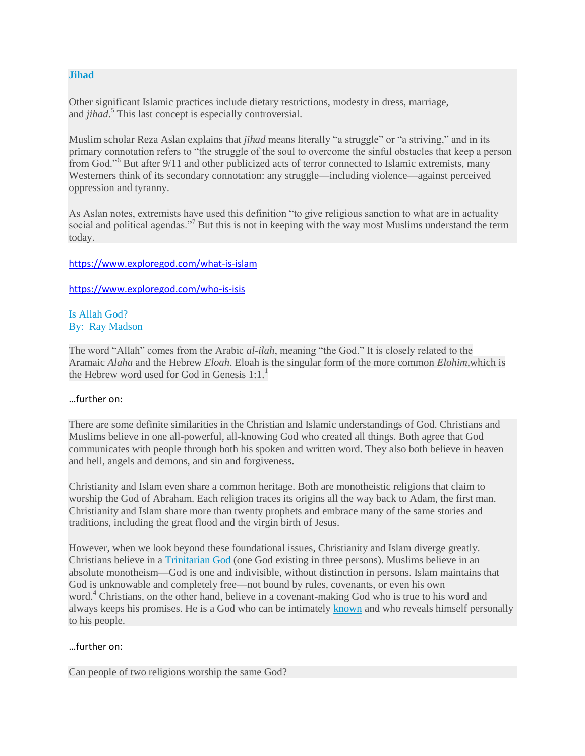#### **Jihad**

Other significant Islamic practices include dietary restrictions, modesty in dress, marriage, and *jihad*. <sup>5</sup> This last concept is especially controversial.

Muslim scholar Reza Aslan explains that *jihad* means literally "a struggle" or "a striving," and in its primary connotation refers to "the struggle of the soul to overcome the sinful obstacles that keep a person from God."<sup>6</sup> But after 9/11 and other publicized acts of terror connected to Islamic extremists, many Westerners think of its secondary connotation: any struggle—including violence—against perceived oppression and tyranny.

As Aslan notes, extremists have used this definition "to give religious sanction to what are in actuality social and political agendas."<sup>7</sup> But this is not in keeping with the way most Muslims understand the term today.

#### <https://www.exploregod.com/what-is-islam>

<https://www.exploregod.com/who-is-isis>

#### Is Allah God? By: Ray Madson

The word "Allah" comes from the Arabic *al-ilah*, meaning "the God." It is closely related to the Aramaic *Alaha* and the Hebrew *Eloah*. Eloah is the singular form of the more common *Elohim,*which is the Hebrew word used for God in Genesis  $1:1<sup>1</sup>$ 

# …further on:

There are some definite similarities in the Christian and Islamic understandings of God. Christians and Muslims believe in one all-powerful, all-knowing God who created all things. Both agree that God communicates with people through both his spoken and written word. They also both believe in heaven and hell, angels and demons, and sin and forgiveness.

Christianity and Islam even share a common heritage. Both are monotheistic religions that claim to worship the God of Abraham. Each religion traces its origins all the way back to Adam, the first man. Christianity and Islam share more than twenty prophets and embrace many of the same stories and traditions, including the great flood and the virgin birth of Jesus.

However, when we look beyond these foundational issues, Christianity and Islam diverge greatly. Christians believe in a [Trinitarian God](https://www.exploregod.com/what-is-the-trinity) (one God existing in three persons). Muslims believe in an absolute monotheism—God is one and indivisible, without distinction in persons. Islam maintains that God is unknowable and completely free—not bound by rules, covenants, or even his own word.<sup>4</sup> Christians, on the other hand, believe in a covenant-making God who is true to his word and always keeps his promises. He is a God who can be intimately [known](https://www.exploregod.com/knowing-god) and who reveals himself personally to his people.

# …further on:

Can people of two religions worship the same God?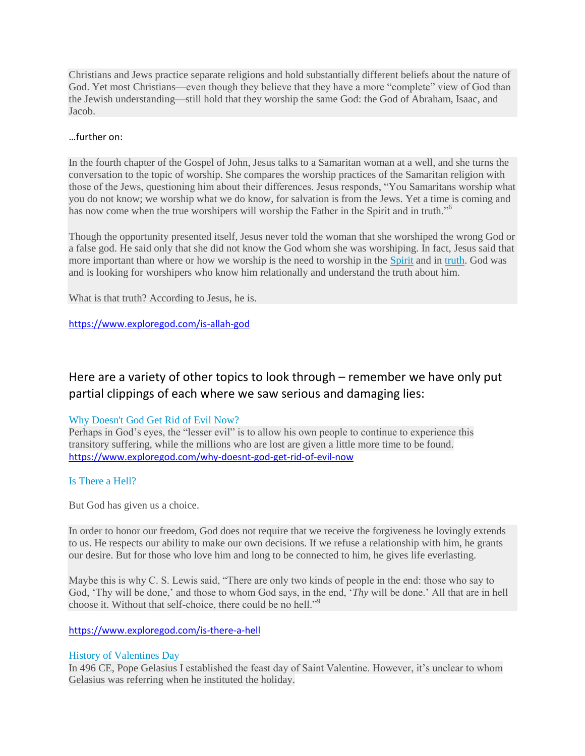Christians and Jews practice separate religions and hold substantially different beliefs about the nature of God. Yet most Christians—even though they believe that they have a more "complete" view of God than the Jewish understanding—still hold that they worship the same God: the God of Abraham, Isaac, and Jacob.

# …further on:

In the fourth chapter of the Gospel of John, Jesus talks to a Samaritan woman at a well, and she turns the conversation to the topic of worship. She compares the worship practices of the Samaritan religion with those of the Jews, questioning him about their differences. Jesus responds, "You Samaritans worship what you do not know; we worship what we do know, for salvation is from the Jews. Yet a time is coming and has now come when the true worshipers will worship the Father in the Spirit and in truth."<sup>6</sup>

Though the opportunity presented itself, Jesus never told the woman that she worshiped the wrong God or a false god. He said only that she did not know the God whom she was worshiping. In fact, Jesus said that more important than where or how we worship is the need to worship in the **[Spirit](https://www.exploregod.com/who-is-the-holy-spirit) and in truth**. God was and is looking for worshipers who know him relationally and understand the truth about him.

What is that truth? According to Jesus, he is.

<https://www.exploregod.com/is-allah-god>

# Here are a variety of other topics to look through – remember we have only put partial clippings of each where we saw serious and damaging lies:

# Why Doesn't God Get Rid of Evil Now?

Perhaps in God's eyes, the "lesser evil" is to allow his own people to continue to experience this transitory suffering, while the millions who are lost are given a little more time to be found. <https://www.exploregod.com/why-doesnt-god-get-rid-of-evil-now>

# Is There a Hell?

But God has given us a choice.

In order to honor our freedom, God does not require that we receive the forgiveness he lovingly extends to us. He respects our ability to make our own decisions. If we refuse a relationship with him, he grants our desire. But for those who love him and long to be connected to him, he gives life everlasting.

Maybe this is why C. S. Lewis said, "There are only two kinds of people in the end: those who say to God, 'Thy will be done,' and those to whom God says, in the end, '*Thy* will be done.' All that are in hell choose it. Without that self-choice, there could be no hell."<sup>9</sup>

# <https://www.exploregod.com/is-there-a-hell>

# History of Valentines Day

In 496 CE, Pope Gelasius I established the feast day of Saint Valentine. However, it's unclear to whom Gelasius was referring when he instituted the holiday.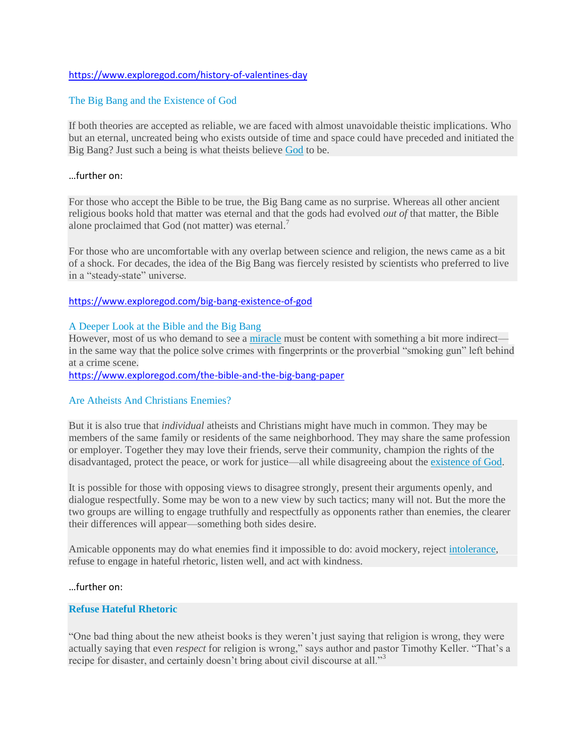#### <https://www.exploregod.com/history-of-valentines-day>

#### The Big Bang and the Existence of God

If both theories are accepted as reliable, we are faced with almost unavoidable theistic implications. Who but an eternal, uncreated being who exists outside of time and space could have preceded and initiated the Big Bang? Just such a being is what theists believe [God](https://www.exploregod.com/god) to be.

#### …further on:

For those who accept the Bible to be true, the Big Bang came as no surprise. Whereas all other ancient religious books hold that matter was eternal and that the gods had evolved *out of* that matter, the Bible alone proclaimed that God (not matter) was eternal.<sup>7</sup>

For those who are uncomfortable with any overlap between science and religion, the news came as a bit of a shock. For decades, the idea of the Big Bang was fiercely resisted by scientists who preferred to live in a "steady-state" universe.

#### <https://www.exploregod.com/big-bang-existence-of-god>

#### A Deeper Look at the Bible and the Big Bang

However, most of us who demand to see a [miracle](https://www.exploregod.com/do-miracles-break-the-laws-of-nature) must be content with something a bit more indirect in the same way that the police solve crimes with fingerprints or the proverbial "smoking gun" left behind at a crime scene.

<https://www.exploregod.com/the-bible-and-the-big-bang-paper>

#### Are Atheists And Christians Enemies?

But it is also true that *individual* atheists and Christians might have much in common. They may be members of the same family or residents of the same neighborhood. They may share the same profession or employer. Together they may love their friends, serve their community, champion the rights of the disadvantaged, protect the peace, or work for justice—all while disagreeing about the [existence of God.](http://www.exploregod.com/is-there-a-god)

It is possible for those with opposing views to disagree strongly, present their arguments openly, and dialogue respectfully. Some may be won to a new view by such tactics; many will not. But the more the two groups are willing to engage truthfully and respectfully as opponents rather than enemies, the clearer their differences will appear—something both sides desire.

Amicable opponents may do what enemies find it impossible to do: avoid mockery, reject [intolerance,](http://www.exploregod.com/religious-intolerance) refuse to engage in hateful rhetoric, listen well, and act with kindness.

#### …further on:

#### **Refuse Hateful Rhetoric**

"One bad thing about the new atheist books is they weren't just saying that religion is wrong, they were actually saying that even *respect* for religion is wrong," says author and pastor Timothy Keller. "That's a recipe for disaster, and certainly doesn't bring about civil discourse at all."<sup>3</sup>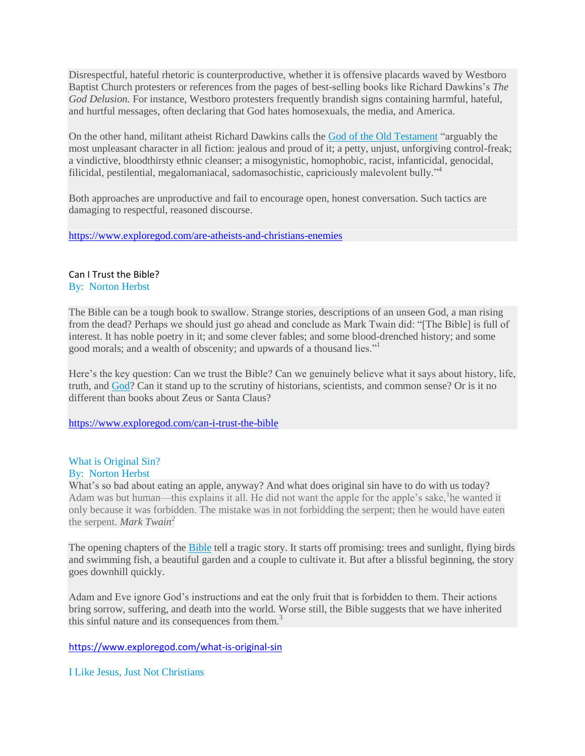Disrespectful, hateful rhetoric is counterproductive, whether it is offensive placards waved by Westboro Baptist Church protesters or references from the pages of best-selling books like Richard Dawkins's *The God Delusion.* For instance, Westboro protesters frequently brandish signs containing harmful, hateful, and hurtful messages, often declaring that God hates homosexuals, the media, and America.

On the other hand, militant atheist Richard Dawkins calls the [God of the Old Testament](http://www.exploregod.com/old-testament-vs-new-testament-a-tale-of-two-gods) "arguably the most unpleasant character in all fiction: jealous and proud of it; a petty, unjust, unforgiving control-freak; a vindictive, bloodthirsty ethnic cleanser; a misogynistic, homophobic, racist, infanticidal, genocidal, filicidal, pestilential, megalomaniacal, sadomasochistic, capriciously malevolent bully."<sup>4</sup>

Both approaches are unproductive and fail to encourage open, honest conversation. Such tactics are damaging to respectful, reasoned discourse.

<https://www.exploregod.com/are-atheists-and-christians-enemies>

# Can I Trust the Bible?

By: Norton Herbst

The Bible can be a tough book to swallow. Strange stories, descriptions of an unseen God, a man rising from the dead? Perhaps we should just go ahead and conclude as Mark Twain did: "[The Bible] is full of interest. It has noble poetry in it; and some clever fables; and some blood-drenched history; and some good morals; and a wealth of obscenity; and upwards of a thousand lies."

Here's the key question: Can we trust the Bible? Can we genuinely believe what it says about history, life, truth, and [God?](https://www.exploregod.com/god) Can it stand up to the scrutiny of historians, scientists, and common sense? Or is it no different than books about Zeus or Santa Claus?

<https://www.exploregod.com/can-i-trust-the-bible>

# What is Original Sin?

# By: Norton Herbst

What's so bad about eating an apple, anyway? And what does original sin have to do with us today? Adam was but human—this explains it all. He did not want the apple for the apple's sake, he wanted it only because it was forbidden. The mistake was in not forbidding the serpent; then he would have eaten the serpent. *Mark Twain<sup>2</sup>*

The opening chapters of the [Bible](https://www.exploregod.com/bible) tell a tragic story. It starts off promising: trees and sunlight, flying birds and swimming fish, a beautiful garden and a couple to cultivate it. But after a blissful beginning, the story goes downhill quickly.

Adam and Eve ignore God's instructions and eat the only fruit that is forbidden to them. Their actions bring sorrow, suffering, and death into the world. Worse still, the Bible suggests that we have inherited this sinful nature and its consequences from them.<sup>3</sup>

<https://www.exploregod.com/what-is-original-sin>

I Like Jesus, Just Not Christians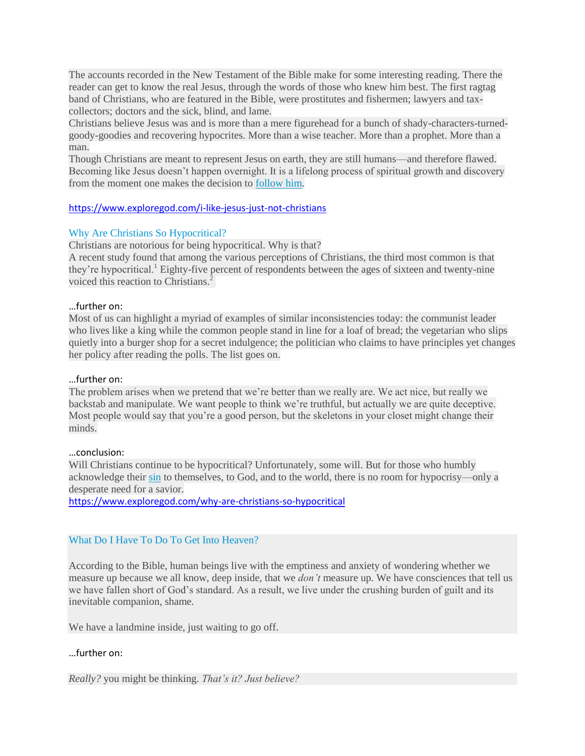The accounts recorded in the New Testament of the Bible make for some interesting reading. There the reader can get to know the real Jesus, through the words of those who knew him best. The first ragtag band of Christians, who are featured in the Bible, were prostitutes and fishermen; lawyers and taxcollectors; doctors and the sick, blind, and lame*.*

Christians believe Jesus was and is more than a mere figurehead for a bunch of shady-characters-turnedgoody-goodies and recovering hypocrites. More than a wise teacher. More than a prophet. More than a man.

Though Christians are meant to represent Jesus on earth, they are still humans—and therefore flawed. Becoming like Jesus doesn't happen overnight. It is a lifelong process of spiritual growth and discovery from the moment one makes the decision to [follow him.](https://www.exploregod.com/what-does-it-mean-to-follow-jesus)

#### <https://www.exploregod.com/i-like-jesus-just-not-christians>

#### Why Are Christians So Hypocritical?

Christians are notorious for being hypocritical. Why is that?

A recent study found that among the various perceptions of Christians, the third most common is that they're hypocritical.<sup>1</sup> Eighty-five percent of respondents between the ages of sixteen and twenty-nine voiced this reaction to Christians.<sup>2</sup>

#### …further on:

Most of us can highlight a myriad of examples of similar inconsistencies today: the communist leader who lives like a king while the common people stand in line for a loaf of bread; the vegetarian who slips quietly into a burger shop for a secret indulgence; the politician who claims to have principles yet changes her policy after reading the polls. The list goes on.

#### …further on:

The problem arises when we pretend that we're better than we really are. We act nice, but really we backstab and manipulate. We want people to think we're truthful, but actually we are quite deceptive. Most people would say that you're a good person, but the skeletons in your closet might change their minds.

#### …conclusion:

Will Christians continue to be hypocritical? Unfortunately, some will. But for those who humbly acknowledge their [sin](https://www.exploregod.com/what-is-sin) to themselves, to God, and to the world, there is no room for hypocrisy—only a desperate need for a savior.

<https://www.exploregod.com/why-are-christians-so-hypocritical>

#### What Do I Have To Do To Get Into Heaven?

According to the Bible, human beings live with the emptiness and anxiety of wondering whether we measure up because we all know, deep inside, that we *don't* measure up. We have consciences that tell us we have fallen short of God's standard. As a result, we live under the crushing burden of guilt and its inevitable companion, shame.

We have a landmine inside, just waiting to go off.

#### …further on:

*Really?* you might be thinking. *That's it? Just believe?*